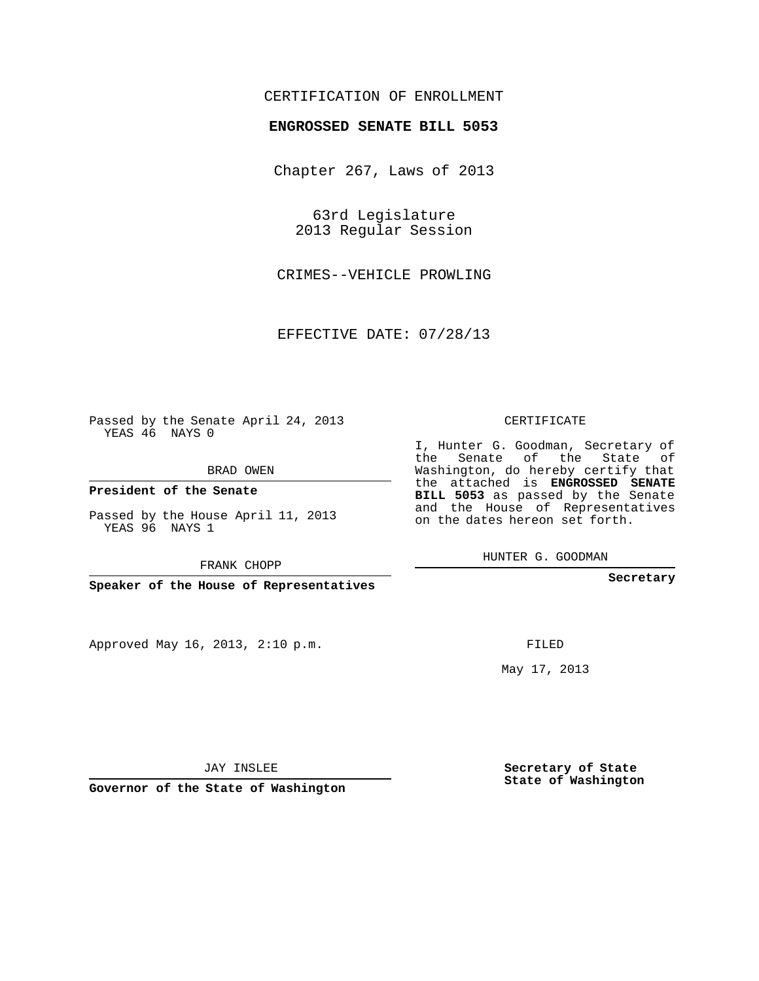## CERTIFICATION OF ENROLLMENT

## **ENGROSSED SENATE BILL 5053**

Chapter 267, Laws of 2013

63rd Legislature 2013 Regular Session

CRIMES--VEHICLE PROWLING

EFFECTIVE DATE: 07/28/13

Passed by the Senate April 24, 2013 YEAS 46 NAYS 0

BRAD OWEN

**President of the Senate**

Passed by the House April 11, 2013 YEAS 96 NAYS 1

FRANK CHOPP

**Speaker of the House of Representatives**

Approved May 16, 2013, 2:10 p.m.

CERTIFICATE

I, Hunter G. Goodman, Secretary of the Senate of the State of Washington, do hereby certify that the attached is **ENGROSSED SENATE BILL 5053** as passed by the Senate and the House of Representatives on the dates hereon set forth.

HUNTER G. GOODMAN

**Secretary**

FILED

May 17, 2013

**Secretary of State State of Washington**

JAY INSLEE

**Governor of the State of Washington**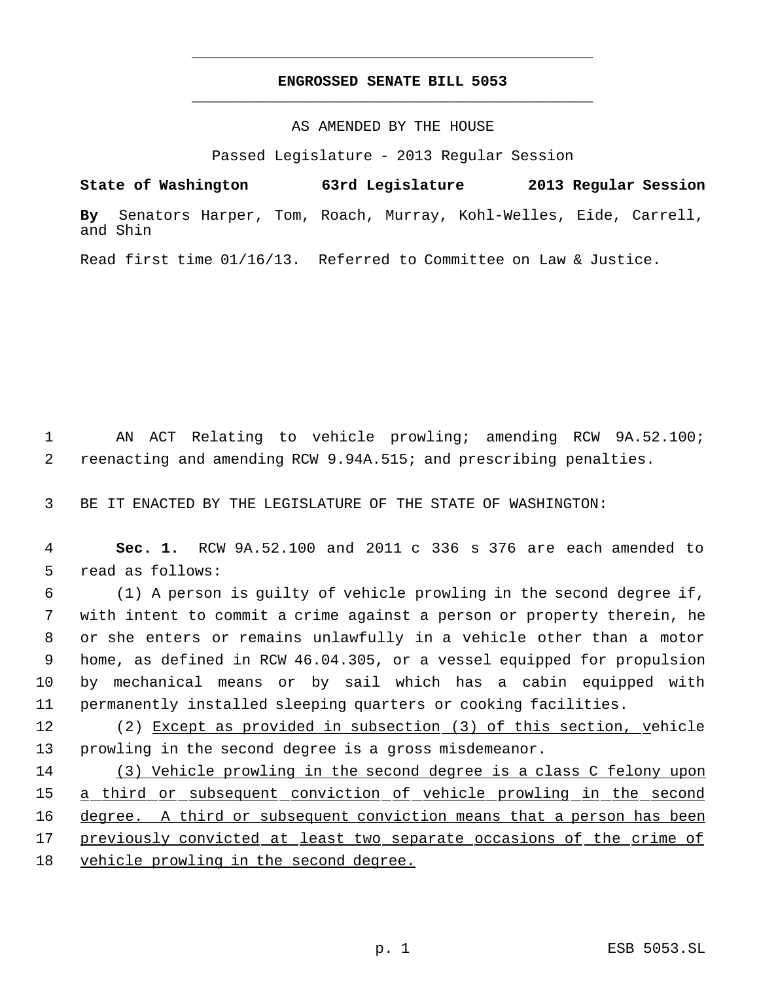# **ENGROSSED SENATE BILL 5053** \_\_\_\_\_\_\_\_\_\_\_\_\_\_\_\_\_\_\_\_\_\_\_\_\_\_\_\_\_\_\_\_\_\_\_\_\_\_\_\_\_\_\_\_\_

\_\_\_\_\_\_\_\_\_\_\_\_\_\_\_\_\_\_\_\_\_\_\_\_\_\_\_\_\_\_\_\_\_\_\_\_\_\_\_\_\_\_\_\_\_

## AS AMENDED BY THE HOUSE

Passed Legislature - 2013 Regular Session

**State of Washington 63rd Legislature 2013 Regular Session By** Senators Harper, Tom, Roach, Murray, Kohl-Welles, Eide, Carrell, and Shin

Read first time 01/16/13. Referred to Committee on Law & Justice.

 1 AN ACT Relating to vehicle prowling; amending RCW 9A.52.100; 2 reenacting and amending RCW 9.94A.515; and prescribing penalties.

3 BE IT ENACTED BY THE LEGISLATURE OF THE STATE OF WASHINGTON:

 4 **Sec. 1.** RCW 9A.52.100 and 2011 c 336 s 376 are each amended to 5 read as follows:

 (1) A person is guilty of vehicle prowling in the second degree if, with intent to commit a crime against a person or property therein, he or she enters or remains unlawfully in a vehicle other than a motor home, as defined in RCW 46.04.305, or a vessel equipped for propulsion by mechanical means or by sail which has a cabin equipped with permanently installed sleeping quarters or cooking facilities.

12 (2) Except as provided in subsection (3) of this section, vehicle 13 prowling in the second degree is a gross misdemeanor.

14 (3) Vehicle prowling in the second degree is a class C felony upon 15 a third or subsequent conviction of vehicle prowling in the second 16 degree. A third or subsequent conviction means that a person has been 17 previously convicted at least two separate occasions of the crime of 18 vehicle prowling in the second degree.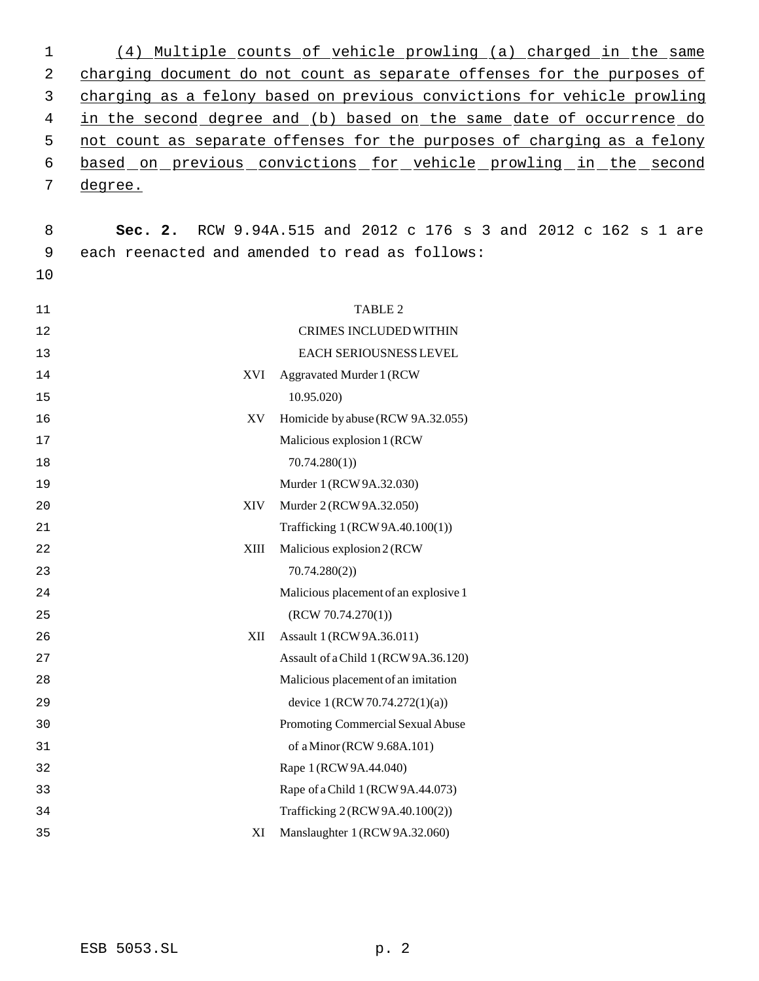| 1  | (4)     | Multiple counts of yehicle prowling (a) charged in the same                 |
|----|---------|-----------------------------------------------------------------------------|
| 2  |         | charging document do not count as separate offenses for the purposes of     |
| 3  |         | charging as a felony based on previous convictions for vehicle prowling     |
| 4  |         | in the second degree and (b) based on the same date of occurrence do        |
| 5  |         | not count as separate offenses for the purposes of charging as a felony     |
| 6  |         | based on previous convictions for vehicle prowling in the second            |
| 7  | degree. |                                                                             |
|    |         |                                                                             |
| 8  | Sec. 2. | RCW 9.94A.515 and 2012 c 176 s 3 and 2012 c 162 s 1 are                     |
| 9  |         | each reenacted and amended to read as follows:                              |
| 10 |         |                                                                             |
|    |         |                                                                             |
| 11 |         | TABLE 2                                                                     |
| 12 |         | <b>CRIMES INCLUDED WITHIN</b>                                               |
| 13 |         | EACH SERIOUSNESS LEVEL                                                      |
| 14 | XVI     | <b>Aggravated Murder 1 (RCW</b>                                             |
| 15 |         | 10.95.020                                                                   |
| 16 | XV      | Homicide by abuse (RCW 9A.32.055)                                           |
| 17 |         | Malicious explosion 1 (RCW)                                                 |
| 18 |         | 70.74.280(1)                                                                |
| 19 |         | Murder 1 (RCW 9A.32.030)                                                    |
| 20 | XIV     | Murder 2 (RCW 9A.32.050)                                                    |
| 21 |         | Trafficking 1 (RCW 9A.40.100(1))                                            |
| 22 | XIII    | Malicious explosion 2 (RCW                                                  |
| 23 |         | 70.74.280(2)                                                                |
| 24 |         | Malicious placement of an explosive 1                                       |
| 25 |         | (RCW 70.74.270(1))                                                          |
| 26 | XII     | Assault 1 (RCW 9A.36.011)                                                   |
| 27 |         | Assault of a Child 1 (RCW 9A.36.120)<br>Malicious placement of an imitation |
| 28 |         |                                                                             |
| 29 |         | device $1 (RCW 70.74.272(1)(a))$                                            |
| 30 |         | Promoting Commercial Sexual Abuse                                           |
| 31 |         | of a Minor (RCW 9.68A.101)                                                  |
| 32 |         | Rape 1 (RCW 9A.44.040)                                                      |
| 33 |         | Rape of a Child 1 (RCW 9A.44.073)                                           |
| 34 |         | Trafficking 2 (RCW 9A.40.100(2))                                            |
| 35 | XI      | Manslaughter 1 (RCW 9A.32.060)                                              |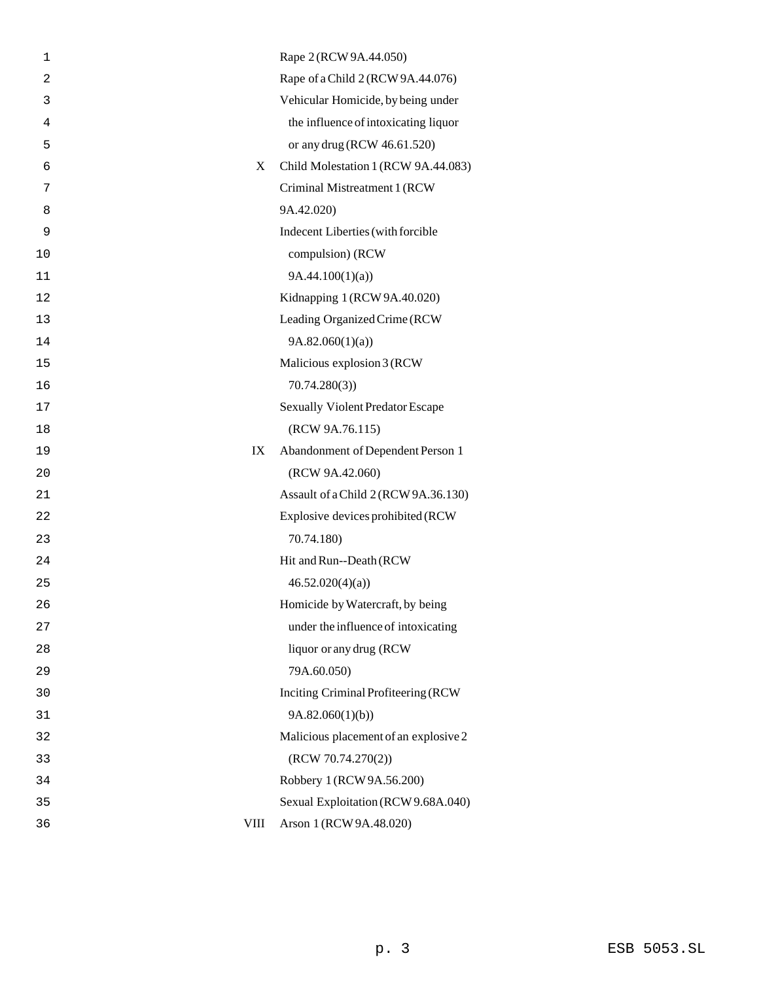| 1              |      | Rape 2 (RCW 9A.44.050)                  |
|----------------|------|-----------------------------------------|
| $\overline{2}$ |      | Rape of a Child 2 (RCW 9A.44.076)       |
| 3              |      | Vehicular Homicide, by being under      |
| 4              |      | the influence of intoxicating liquor    |
| 5              |      | or any drug (RCW 46.61.520)             |
| 6              | X    | Child Molestation 1 (RCW 9A.44.083)     |
| 7              |      | Criminal Mistreatment 1 (RCW            |
| 8              |      | 9A.42.020)                              |
| 9              |      | Indecent Liberties (with forcible       |
| 10             |      | compulsion) (RCW                        |
| 11             |      | 9A.44.100(1)(a)                         |
| 12             |      | Kidnapping 1 (RCW 9A.40.020)            |
| 13             |      | Leading Organized Crime (RCW            |
| 14             |      | 9A.82.060(1)(a)                         |
| 15             |      | Malicious explosion 3 (RCW              |
| 16             |      | 70.74.280(3)                            |
| 17             |      | <b>Sexually Violent Predator Escape</b> |
| 18             |      | (RCW 9A.76.115)                         |
| 19             | IX   | Abandonment of Dependent Person 1       |
| 20             |      | (RCW 9A.42.060)                         |
| 21             |      | Assault of a Child 2 (RCW 9A.36.130)    |
| 22             |      | Explosive devices prohibited (RCW       |
| 23             |      | 70.74.180)                              |
| 24             |      | Hit and Run--Death (RCW                 |
| 25             |      | 46.52.020(4)(a)                         |
| 26             |      | Homicide by Watercraft, by being        |
| 27             |      | under the influence of intoxicating     |
| 28             |      | liquor or any drug (RCW                 |
| 29             |      | 79A.60.050)                             |
| 30             |      | Inciting Criminal Profiteering (RCW     |
| 31             |      | 9A.82.060(1)(b)                         |
| 32             |      | Malicious placement of an explosive 2   |
| 33             |      | (RCW 70.74.270(2))                      |
| 34             |      | Robbery 1 (RCW 9A.56.200)               |
| 35             |      | Sexual Exploitation (RCW 9.68A.040)     |
| 36             | VIII | Arson 1 (RCW 9A.48.020)                 |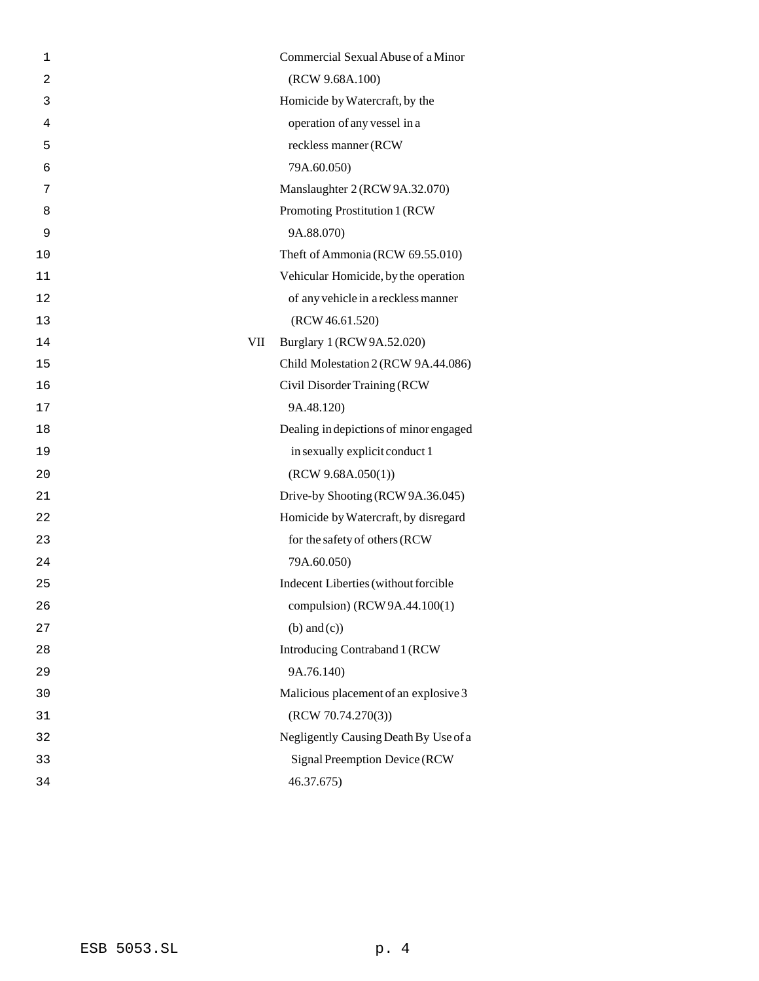| 1              |     | Commercial Sexual Abuse of a Minor     |
|----------------|-----|----------------------------------------|
| $\overline{2}$ |     | (RCW 9.68A.100)                        |
| 3              |     | Homicide by Watercraft, by the         |
| 4              |     | operation of any vessel in a           |
| 5              |     | reckless manner (RCW                   |
| 6              |     | 79A.60.050)                            |
| 7              |     | Manslaughter 2 (RCW 9A.32.070)         |
| 8              |     | Promoting Prostitution 1 (RCW          |
| 9              |     | 9A.88.070)                             |
| 10             |     | Theft of Ammonia (RCW 69.55.010)       |
| 11             |     | Vehicular Homicide, by the operation   |
| 12             |     | of any vehicle in a reckless manner    |
| 13             |     | (RCW 46.61.520)                        |
| 14             | VII | Burglary 1 (RCW 9A.52.020)             |
| 15             |     | Child Molestation 2 (RCW 9A.44.086)    |
| 16             |     | Civil Disorder Training (RCW           |
| 17             |     | 9A.48.120)                             |
| 18             |     | Dealing in depictions of minor engaged |
| 19             |     | in sexually explicit conduct 1         |
| 20             |     | (RCW 9.68A.050(1))                     |
| 21             |     | Drive-by Shooting (RCW 9A.36.045)      |
| 22             |     | Homicide by Watercraft, by disregard   |
| 23             |     | for the safety of others (RCW          |
| 24             |     | 79A.60.050)                            |
| 25             |     | Indecent Liberties (without forcible   |
| 26             |     | compulsion) (RCW 9A.44.100(1)          |
| 27             |     | $(b)$ and $(c)$ )                      |
| 28             |     | Introducing Contraband 1 (RCW          |
| 29             |     | 9A.76.140)                             |
| 30             |     | Malicious placement of an explosive 3  |
| 31             |     | (RCW 70.74.270(3))                     |
| 32             |     | Negligently Causing Death By Use of a  |
| 33             |     | Signal Preemption Device (RCW          |
| 34             |     | 46.37.675)                             |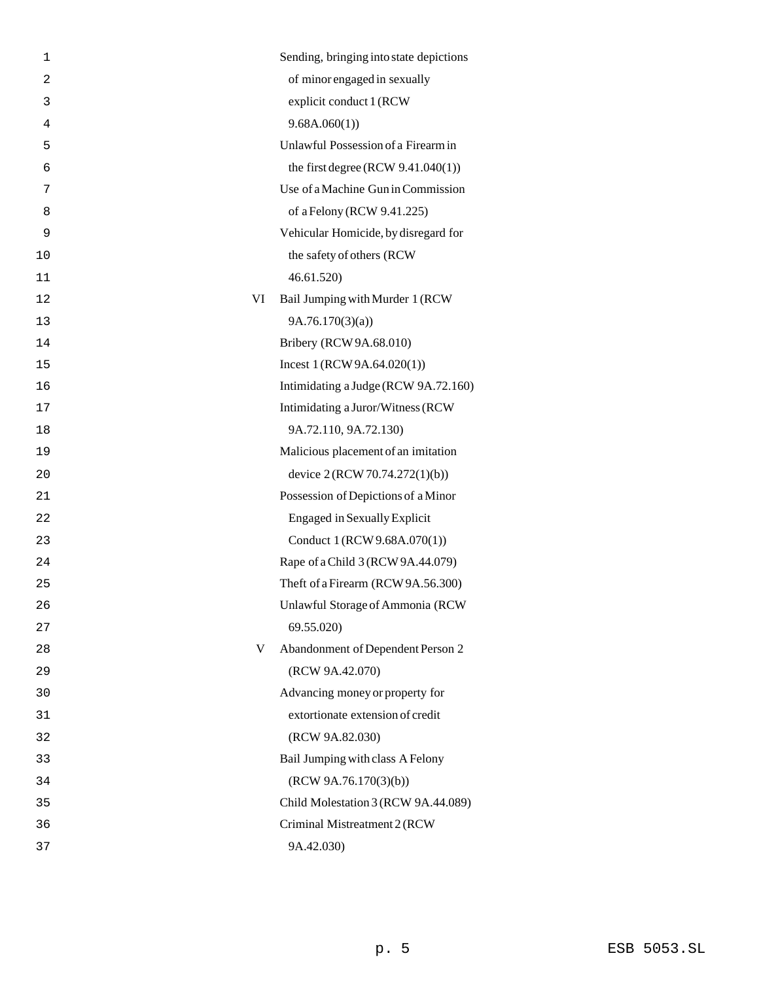| 1  |    | Sending, bringing into state depictions |
|----|----|-----------------------------------------|
| 2  |    | of minor engaged in sexually            |
| 3  |    | explicit conduct 1 (RCW                 |
| 4  |    | 9.68A.060(1)                            |
| 5  |    | Unlawful Possession of a Firearm in     |
| 6  |    | the first degree (RCW $9.41.040(1)$ )   |
| 7  |    | Use of a Machine Gun in Commission      |
| 8  |    | of a Felony (RCW 9.41.225)              |
| 9  |    | Vehicular Homicide, by disregard for    |
| 10 |    | the safety of others (RCW               |
| 11 |    | 46.61.520)                              |
| 12 | VI | Bail Jumping with Murder 1 (RCW         |
| 13 |    | 9A.76.170(3)(a)                         |
| 14 |    | Bribery (RCW 9A.68.010)                 |
| 15 |    | Incest $1 (RCW 9A.64.020(1))$           |
| 16 |    | Intimidating a Judge (RCW 9A.72.160)    |
| 17 |    | Intimidating a Juror/Witness (RCW       |
| 18 |    | 9A.72.110, 9A.72.130)                   |
| 19 |    | Malicious placement of an imitation     |
| 20 |    | device 2 (RCW 70.74.272(1)(b))          |
| 21 |    | Possession of Depictions of a Minor     |
| 22 |    | <b>Engaged in Sexually Explicit</b>     |
| 23 |    | Conduct 1 (RCW 9.68A.070(1))            |
| 24 |    | Rape of a Child 3 (RCW 9A.44.079)       |
| 25 |    | Theft of a Firearm (RCW 9A.56.300)      |
| 26 |    | Unlawful Storage of Ammonia (RCW        |
| 27 |    | 69.55.020)                              |
| 28 | V  | Abandonment of Dependent Person 2       |
| 29 |    | (RCW 9A.42.070)                         |
| 30 |    | Advancing money or property for         |
| 31 |    | extortionate extension of credit        |
| 32 |    | (RCW 9A.82.030)                         |
| 33 |    | Bail Jumping with class A Felony        |
| 34 |    | (RCW 9A.76.170(3)(b))                   |
| 35 |    | Child Molestation 3 (RCW 9A.44.089)     |
| 36 |    | Criminal Mistreatment 2 (RCW            |
| 37 |    | 9A.42.030)                              |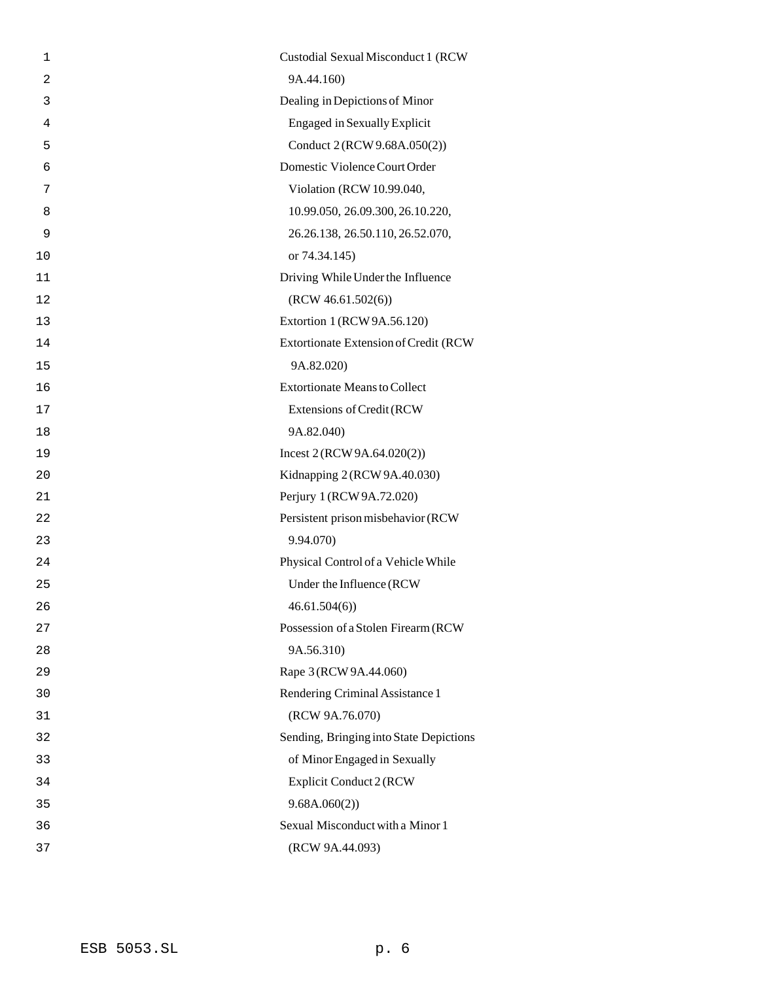| $\mathbf 1$    | Custodial Sexual Misconduct 1 (RCW      |
|----------------|-----------------------------------------|
| $\overline{c}$ | 9A.44.160)                              |
| 3              | Dealing in Depictions of Minor          |
| 4              | <b>Engaged in Sexually Explicit</b>     |
| 5              | Conduct 2 (RCW 9.68A.050(2))            |
| 6              | Domestic Violence Court Order           |
| 7              | Violation (RCW 10.99.040,               |
| 8              | 10.99.050, 26.09.300, 26.10.220,        |
| 9              | 26.26.138, 26.50.110, 26.52.070,        |
| 10             | or 74.34.145)                           |
| 11             | Driving While Under the Influence       |
| 12             | (RCW 46.61.502(6))                      |
| 13             | Extortion 1 (RCW 9A.56.120)             |
| 14             | Extortionate Extension of Credit (RCW   |
| 15             | 9A.82.020)                              |
| 16             | <b>Extortionate Means to Collect</b>    |
| 17             | Extensions of Credit (RCW               |
| 18             | 9A.82.040)                              |
| 19             | Incest $2 (RCW 9A.64.020(2))$           |
| 20             | Kidnapping 2 (RCW 9A.40.030)            |
| 21             | Perjury 1 (RCW 9A.72.020)               |
| 22             | Persistent prison misbehavior (RCW      |
| 23             | 9.94.070)                               |
| 24             | Physical Control of a Vehicle While     |
| 25             | Under the Influence (RCW                |
| 26             | 46.61.504(6)                            |
| 27             | Possession of a Stolen Firearm (RCW     |
| 28             | 9A.56.310)                              |
| 29             | Rape 3 (RCW 9A.44.060)                  |
| 30             | Rendering Criminal Assistance 1         |
| 31             | (RCW 9A.76.070)                         |
| 32             | Sending, Bringing into State Depictions |
| 33             | of Minor Engaged in Sexually            |
| 34             | Explicit Conduct 2 (RCW                 |
| 35             | 9.68A.060(2)                            |
| 36             | Sexual Misconduct with a Minor 1        |
| 37             | (RCW 9A.44.093)                         |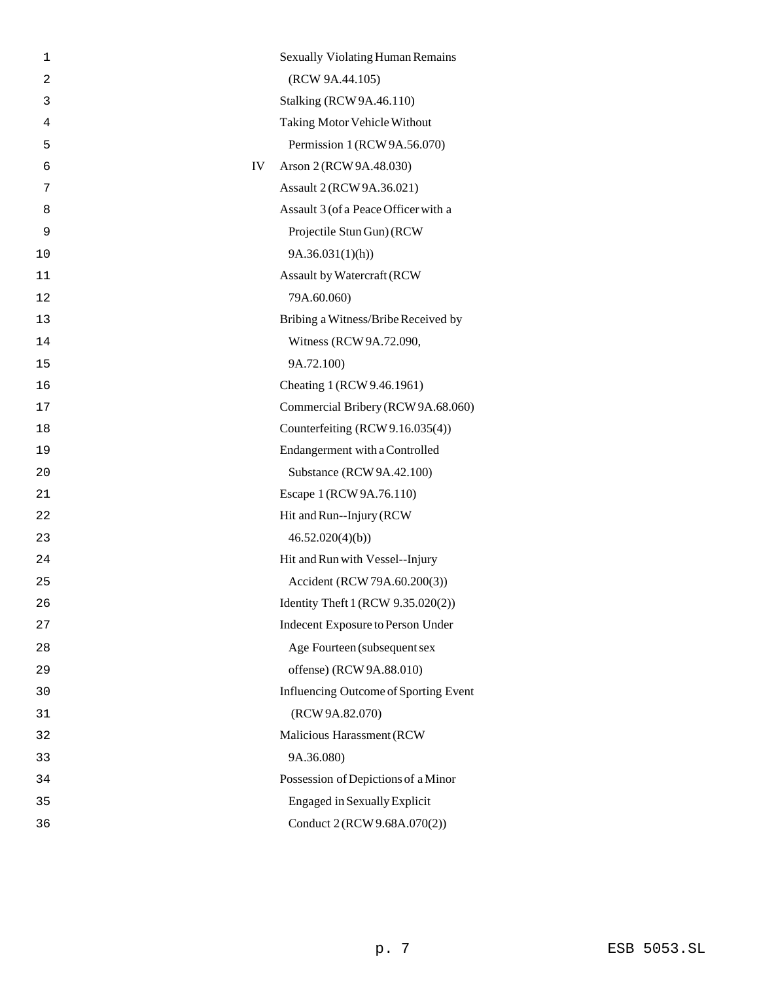| 1              |    | <b>Sexually Violating Human Remains</b> |
|----------------|----|-----------------------------------------|
| $\overline{c}$ |    | (RCW 9A.44.105)                         |
| 3              |    | <b>Stalking (RCW 9A.46.110)</b>         |
| 4              |    | Taking Motor Vehicle Without            |
| 5              |    | Permission 1 (RCW 9A.56.070)            |
| 6              | IV | Arson 2 (RCW 9A.48.030)                 |
| 7              |    | Assault 2 (RCW 9A.36.021)               |
| 8              |    | Assault 3 (of a Peace Officer with a    |
| 9              |    | Projectile Stun Gun) (RCW               |
| 10             |    | 9A.36.031(1)(h)                         |
| 11             |    | Assault by Watercraft (RCW              |
| 12             |    | 79A.60.060)                             |
| 13             |    | Bribing a Witness/Bribe Received by     |
| 14             |    | Witness (RCW 9A.72.090,                 |
| 15             |    | 9A.72.100)                              |
| 16             |    | Cheating 1 (RCW 9.46.1961)              |
| 17             |    | Commercial Bribery (RCW 9A.68.060)      |
| 18             |    | Counterfeiting (RCW 9.16.035(4))        |
| 19             |    | Endangerment with a Controlled          |
| 20             |    | Substance (RCW 9A.42.100)               |
| 21             |    | Escape 1 (RCW 9A.76.110)                |
| 22             |    | Hit and Run--Injury (RCW)               |
| 23             |    | 46.52.020(4)(b)                         |
| 24             |    | Hit and Run with Vessel--Injury         |
| 25             |    | Accident (RCW 79A.60.200(3))            |
| 26             |    | Identity Theft 1 (RCW 9.35.020(2))      |
| 27             |    | Indecent Exposure to Person Under       |
| 28             |    | Age Fourteen (subsequent sex            |
| 29             |    | offense) (RCW 9A.88.010)                |
| 30             |    | Influencing Outcome of Sporting Event   |
| 31             |    | (RCW 9A.82.070)                         |
| 32             |    | Malicious Harassment (RCW               |
| 33             |    | 9A.36.080)                              |
| 34             |    | Possession of Depictions of a Minor     |
| 35             |    | <b>Engaged in Sexually Explicit</b>     |
| 36             |    | Conduct 2 (RCW 9.68A.070(2))            |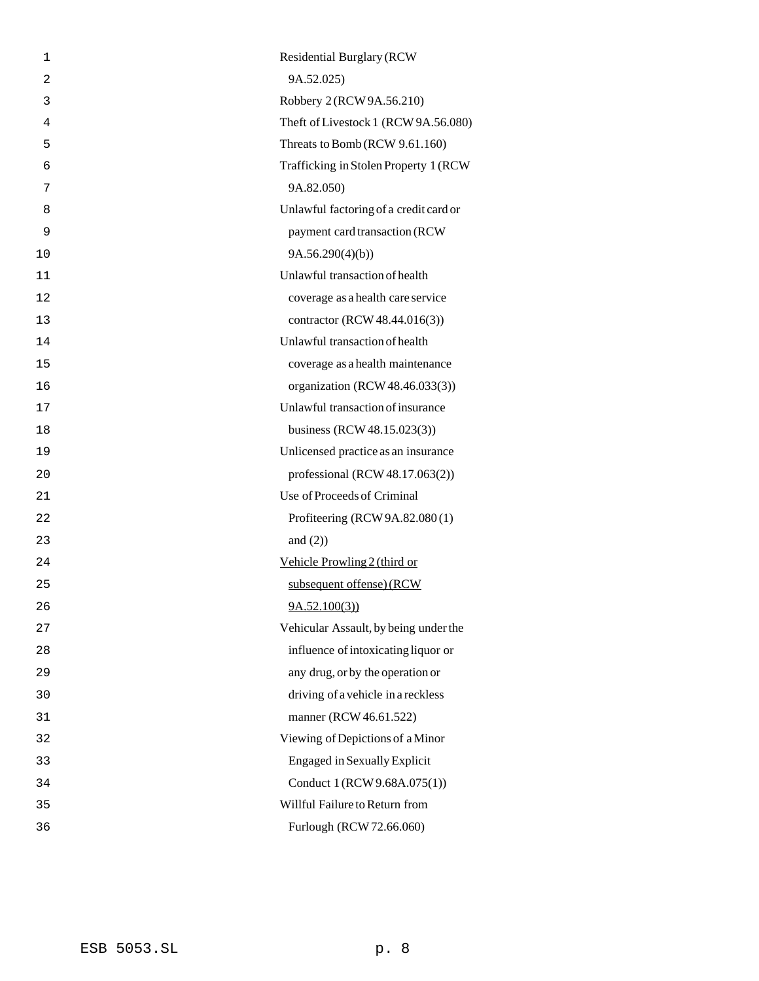| 9A.52.025)<br>$\overline{2}$<br>Robbery 2 (RCW 9A.56.210)<br>3<br>Theft of Livestock 1 (RCW 9A.56.080)<br>4<br>Threats to Bomb (RCW 9.61.160)<br>5<br>Trafficking in Stolen Property 1 (RCW)<br>6<br>9A.82.050)<br>7<br>Unlawful factoring of a credit card or<br>8<br>payment card transaction (RCW<br>9<br>9A.56.290(4)(b)<br>10<br>Unlawful transaction of health<br>11<br>coverage as a health care service<br>12<br>contractor (RCW 48.44.016(3))<br>13<br>Unlawful transaction of health<br>14<br>coverage as a health maintenance<br>15<br>organization (RCW 48.46.033(3))<br>16<br>Unlawful transaction of insurance<br>17<br>business (RCW 48.15.023(3))<br>18<br>Unlicensed practice as an insurance<br>19<br>professional (RCW $48.17.063(2)$ )<br>20<br>Use of Proceeds of Criminal<br>21<br>Profiteering (RCW 9A.82.080(1)<br>22<br>and $(2)$ )<br>23<br>Vehicle Prowling 2 (third or<br>24<br>subsequent offense) (RCW<br>25<br>9A.52.100(3)<br>26<br>Vehicular Assault, by being under the<br>27<br>influence of intoxicating liquor or<br>28<br>29<br>any drug, or by the operation or<br>driving of a vehicle in a reckless<br>30<br>manner (RCW 46.61.522)<br>31<br>Viewing of Depictions of a Minor<br>32<br><b>Engaged in Sexually Explicit</b><br>33<br>Conduct 1 (RCW 9.68A.075(1))<br>34<br>Willful Failure to Return from<br>35<br>Furlough (RCW 72.66.060)<br>36 | 1 | <b>Residential Burglary (RCW</b> |
|-------------------------------------------------------------------------------------------------------------------------------------------------------------------------------------------------------------------------------------------------------------------------------------------------------------------------------------------------------------------------------------------------------------------------------------------------------------------------------------------------------------------------------------------------------------------------------------------------------------------------------------------------------------------------------------------------------------------------------------------------------------------------------------------------------------------------------------------------------------------------------------------------------------------------------------------------------------------------------------------------------------------------------------------------------------------------------------------------------------------------------------------------------------------------------------------------------------------------------------------------------------------------------------------------------------------------------------------------------------------------------------------|---|----------------------------------|
|                                                                                                                                                                                                                                                                                                                                                                                                                                                                                                                                                                                                                                                                                                                                                                                                                                                                                                                                                                                                                                                                                                                                                                                                                                                                                                                                                                                           |   |                                  |
|                                                                                                                                                                                                                                                                                                                                                                                                                                                                                                                                                                                                                                                                                                                                                                                                                                                                                                                                                                                                                                                                                                                                                                                                                                                                                                                                                                                           |   |                                  |
|                                                                                                                                                                                                                                                                                                                                                                                                                                                                                                                                                                                                                                                                                                                                                                                                                                                                                                                                                                                                                                                                                                                                                                                                                                                                                                                                                                                           |   |                                  |
|                                                                                                                                                                                                                                                                                                                                                                                                                                                                                                                                                                                                                                                                                                                                                                                                                                                                                                                                                                                                                                                                                                                                                                                                                                                                                                                                                                                           |   |                                  |
|                                                                                                                                                                                                                                                                                                                                                                                                                                                                                                                                                                                                                                                                                                                                                                                                                                                                                                                                                                                                                                                                                                                                                                                                                                                                                                                                                                                           |   |                                  |
|                                                                                                                                                                                                                                                                                                                                                                                                                                                                                                                                                                                                                                                                                                                                                                                                                                                                                                                                                                                                                                                                                                                                                                                                                                                                                                                                                                                           |   |                                  |
|                                                                                                                                                                                                                                                                                                                                                                                                                                                                                                                                                                                                                                                                                                                                                                                                                                                                                                                                                                                                                                                                                                                                                                                                                                                                                                                                                                                           |   |                                  |
|                                                                                                                                                                                                                                                                                                                                                                                                                                                                                                                                                                                                                                                                                                                                                                                                                                                                                                                                                                                                                                                                                                                                                                                                                                                                                                                                                                                           |   |                                  |
|                                                                                                                                                                                                                                                                                                                                                                                                                                                                                                                                                                                                                                                                                                                                                                                                                                                                                                                                                                                                                                                                                                                                                                                                                                                                                                                                                                                           |   |                                  |
|                                                                                                                                                                                                                                                                                                                                                                                                                                                                                                                                                                                                                                                                                                                                                                                                                                                                                                                                                                                                                                                                                                                                                                                                                                                                                                                                                                                           |   |                                  |
|                                                                                                                                                                                                                                                                                                                                                                                                                                                                                                                                                                                                                                                                                                                                                                                                                                                                                                                                                                                                                                                                                                                                                                                                                                                                                                                                                                                           |   |                                  |
|                                                                                                                                                                                                                                                                                                                                                                                                                                                                                                                                                                                                                                                                                                                                                                                                                                                                                                                                                                                                                                                                                                                                                                                                                                                                                                                                                                                           |   |                                  |
|                                                                                                                                                                                                                                                                                                                                                                                                                                                                                                                                                                                                                                                                                                                                                                                                                                                                                                                                                                                                                                                                                                                                                                                                                                                                                                                                                                                           |   |                                  |
|                                                                                                                                                                                                                                                                                                                                                                                                                                                                                                                                                                                                                                                                                                                                                                                                                                                                                                                                                                                                                                                                                                                                                                                                                                                                                                                                                                                           |   |                                  |
|                                                                                                                                                                                                                                                                                                                                                                                                                                                                                                                                                                                                                                                                                                                                                                                                                                                                                                                                                                                                                                                                                                                                                                                                                                                                                                                                                                                           |   |                                  |
|                                                                                                                                                                                                                                                                                                                                                                                                                                                                                                                                                                                                                                                                                                                                                                                                                                                                                                                                                                                                                                                                                                                                                                                                                                                                                                                                                                                           |   |                                  |
|                                                                                                                                                                                                                                                                                                                                                                                                                                                                                                                                                                                                                                                                                                                                                                                                                                                                                                                                                                                                                                                                                                                                                                                                                                                                                                                                                                                           |   |                                  |
|                                                                                                                                                                                                                                                                                                                                                                                                                                                                                                                                                                                                                                                                                                                                                                                                                                                                                                                                                                                                                                                                                                                                                                                                                                                                                                                                                                                           |   |                                  |
|                                                                                                                                                                                                                                                                                                                                                                                                                                                                                                                                                                                                                                                                                                                                                                                                                                                                                                                                                                                                                                                                                                                                                                                                                                                                                                                                                                                           |   |                                  |
|                                                                                                                                                                                                                                                                                                                                                                                                                                                                                                                                                                                                                                                                                                                                                                                                                                                                                                                                                                                                                                                                                                                                                                                                                                                                                                                                                                                           |   |                                  |
|                                                                                                                                                                                                                                                                                                                                                                                                                                                                                                                                                                                                                                                                                                                                                                                                                                                                                                                                                                                                                                                                                                                                                                                                                                                                                                                                                                                           |   |                                  |
|                                                                                                                                                                                                                                                                                                                                                                                                                                                                                                                                                                                                                                                                                                                                                                                                                                                                                                                                                                                                                                                                                                                                                                                                                                                                                                                                                                                           |   |                                  |
|                                                                                                                                                                                                                                                                                                                                                                                                                                                                                                                                                                                                                                                                                                                                                                                                                                                                                                                                                                                                                                                                                                                                                                                                                                                                                                                                                                                           |   |                                  |
|                                                                                                                                                                                                                                                                                                                                                                                                                                                                                                                                                                                                                                                                                                                                                                                                                                                                                                                                                                                                                                                                                                                                                                                                                                                                                                                                                                                           |   |                                  |
|                                                                                                                                                                                                                                                                                                                                                                                                                                                                                                                                                                                                                                                                                                                                                                                                                                                                                                                                                                                                                                                                                                                                                                                                                                                                                                                                                                                           |   |                                  |
|                                                                                                                                                                                                                                                                                                                                                                                                                                                                                                                                                                                                                                                                                                                                                                                                                                                                                                                                                                                                                                                                                                                                                                                                                                                                                                                                                                                           |   |                                  |
|                                                                                                                                                                                                                                                                                                                                                                                                                                                                                                                                                                                                                                                                                                                                                                                                                                                                                                                                                                                                                                                                                                                                                                                                                                                                                                                                                                                           |   |                                  |
|                                                                                                                                                                                                                                                                                                                                                                                                                                                                                                                                                                                                                                                                                                                                                                                                                                                                                                                                                                                                                                                                                                                                                                                                                                                                                                                                                                                           |   |                                  |
|                                                                                                                                                                                                                                                                                                                                                                                                                                                                                                                                                                                                                                                                                                                                                                                                                                                                                                                                                                                                                                                                                                                                                                                                                                                                                                                                                                                           |   |                                  |
|                                                                                                                                                                                                                                                                                                                                                                                                                                                                                                                                                                                                                                                                                                                                                                                                                                                                                                                                                                                                                                                                                                                                                                                                                                                                                                                                                                                           |   |                                  |
|                                                                                                                                                                                                                                                                                                                                                                                                                                                                                                                                                                                                                                                                                                                                                                                                                                                                                                                                                                                                                                                                                                                                                                                                                                                                                                                                                                                           |   |                                  |
|                                                                                                                                                                                                                                                                                                                                                                                                                                                                                                                                                                                                                                                                                                                                                                                                                                                                                                                                                                                                                                                                                                                                                                                                                                                                                                                                                                                           |   |                                  |
|                                                                                                                                                                                                                                                                                                                                                                                                                                                                                                                                                                                                                                                                                                                                                                                                                                                                                                                                                                                                                                                                                                                                                                                                                                                                                                                                                                                           |   |                                  |
|                                                                                                                                                                                                                                                                                                                                                                                                                                                                                                                                                                                                                                                                                                                                                                                                                                                                                                                                                                                                                                                                                                                                                                                                                                                                                                                                                                                           |   |                                  |
|                                                                                                                                                                                                                                                                                                                                                                                                                                                                                                                                                                                                                                                                                                                                                                                                                                                                                                                                                                                                                                                                                                                                                                                                                                                                                                                                                                                           |   |                                  |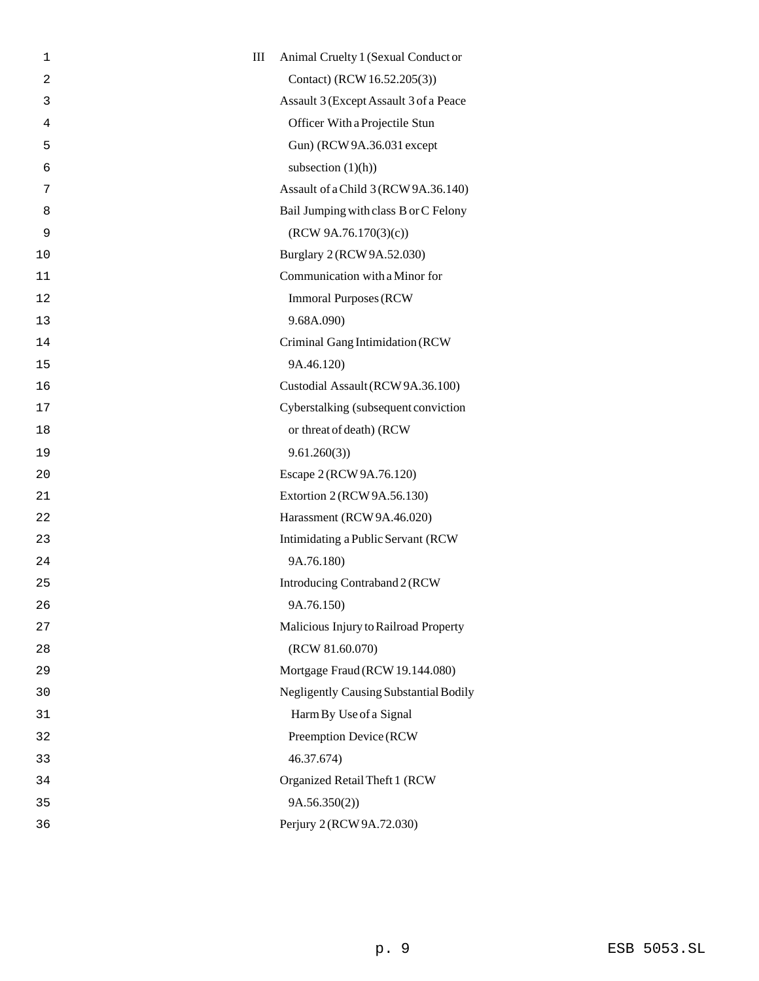| 1  | $\rm III$ | Animal Cruelty 1 (Sexual Conduct or           |
|----|-----------|-----------------------------------------------|
| 2  |           | Contact) (RCW 16.52.205(3))                   |
| 3  |           | Assault 3 (Except Assault 3 of a Peace        |
| 4  |           | Officer With a Projectile Stun                |
| 5  |           | Gun) (RCW 9A.36.031 except                    |
| 6  |           | subsection $(1)(h)$                           |
| 7  |           | Assault of a Child 3 (RCW 9A.36.140)          |
| 8  |           | Bail Jumping with class B or C Felony         |
| 9  |           | (RCW 9A.76.170(3)(c))                         |
| 10 |           | Burglary 2 (RCW 9A.52.030)                    |
| 11 |           | Communication with a Minor for                |
| 12 |           | <b>Immoral Purposes (RCW)</b>                 |
| 13 |           | 9.68A.090)                                    |
| 14 |           | Criminal Gang Intimidation (RCW               |
| 15 |           | 9A.46.120)                                    |
| 16 |           | Custodial Assault (RCW 9A.36.100)             |
| 17 |           | Cyberstalking (subsequent conviction          |
| 18 |           | or threat of death) (RCW                      |
| 19 |           | 9.61.260(3)                                   |
| 20 |           | Escape 2 (RCW 9A.76.120)                      |
| 21 |           | Extortion 2 (RCW 9A.56.130)                   |
| 22 |           | Harassment (RCW 9A.46.020)                    |
| 23 |           | Intimidating a Public Servant (RCW            |
| 24 |           | 9A.76.180)                                    |
| 25 |           | Introducing Contraband 2 (RCW                 |
| 26 |           | 9A.76.150)                                    |
| 27 |           | Malicious Injury to Railroad Property         |
| 28 |           | (RCW 81.60.070)                               |
| 29 |           | Mortgage Fraud (RCW 19.144.080)               |
| 30 |           | <b>Negligently Causing Substantial Bodily</b> |
| 31 |           | Harm By Use of a Signal                       |
| 32 |           | Preemption Device (RCW                        |
| 33 |           | 46.37.674)                                    |
| 34 |           | Organized Retail Theft 1 (RCW                 |
| 35 |           | 9A.56.350(2)                                  |
| 36 |           | Perjury 2 (RCW 9A.72.030)                     |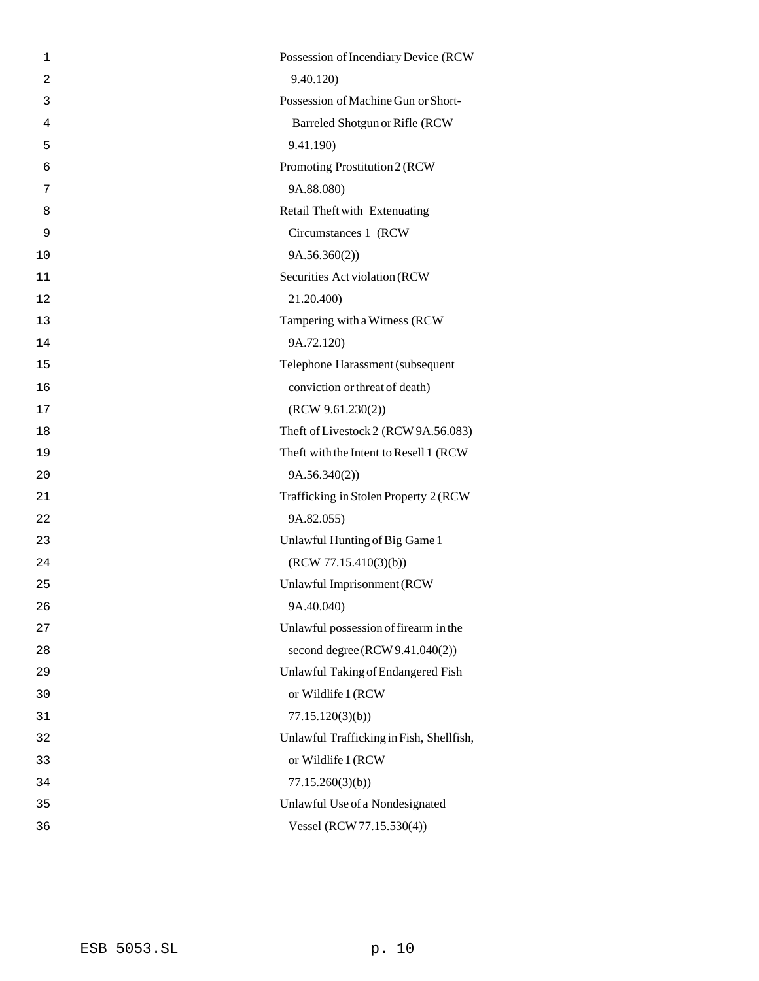| $\mathbf{1}$   | Possession of Incendiary Device (RCW     |
|----------------|------------------------------------------|
| $\overline{2}$ | 9.40.120)                                |
| 3              | Possession of Machine Gun or Short-      |
| 4              | Barreled Shotgun or Rifle (RCW           |
| 5              | 9.41.190)                                |
| 6              | Promoting Prostitution 2 (RCW            |
| 7              | 9A.88.080)                               |
| 8              | Retail Theft with Extenuating            |
| 9              | Circumstances 1 (RCW                     |
| 10             | 9A.56.360(2))                            |
| 11             | Securities Act violation (RCW            |
| 12             | 21.20.400)                               |
| 13             | Tampering with a Witness (RCW            |
| 14             | 9A.72.120)                               |
| 15             | Telephone Harassment (subsequent         |
| 16             | conviction or threat of death)           |
| 17             | (RCW 9.61.230(2))                        |
| 18             | Theft of Livestock 2 (RCW 9A.56.083)     |
| 19             | Theft with the Intent to Resell 1 (RCW)  |
| 20             | 9A.56.340(2)                             |
| 21             | Trafficking in Stolen Property 2 (RCW    |
| 22             | 9A.82.055)                               |
| 23             | Unlawful Hunting of Big Game 1           |
| 24             | (RCW 77.15.410(3)(b))                    |
| 25             | Unlawful Imprisonment (RCW               |
| 26             | 9A.40.040)                               |
| 27             | Unlawful possession of firearm in the    |
| 28             | second degree $(RCW 9.41.040(2))$        |
| 29             | Unlawful Taking of Endangered Fish       |
| 30             | or Wildlife 1 (RCW                       |
| 31             | 77.15.120(3)(b)                          |
| 32             | Unlawful Trafficking in Fish, Shellfish, |
| 33             | or Wildlife 1 (RCW                       |
| 34             | 77.15.260(3)(b)                          |
| 35             | Unlawful Use of a Nondesignated          |
| 36             | Vessel (RCW 77.15.530(4))                |
|                |                                          |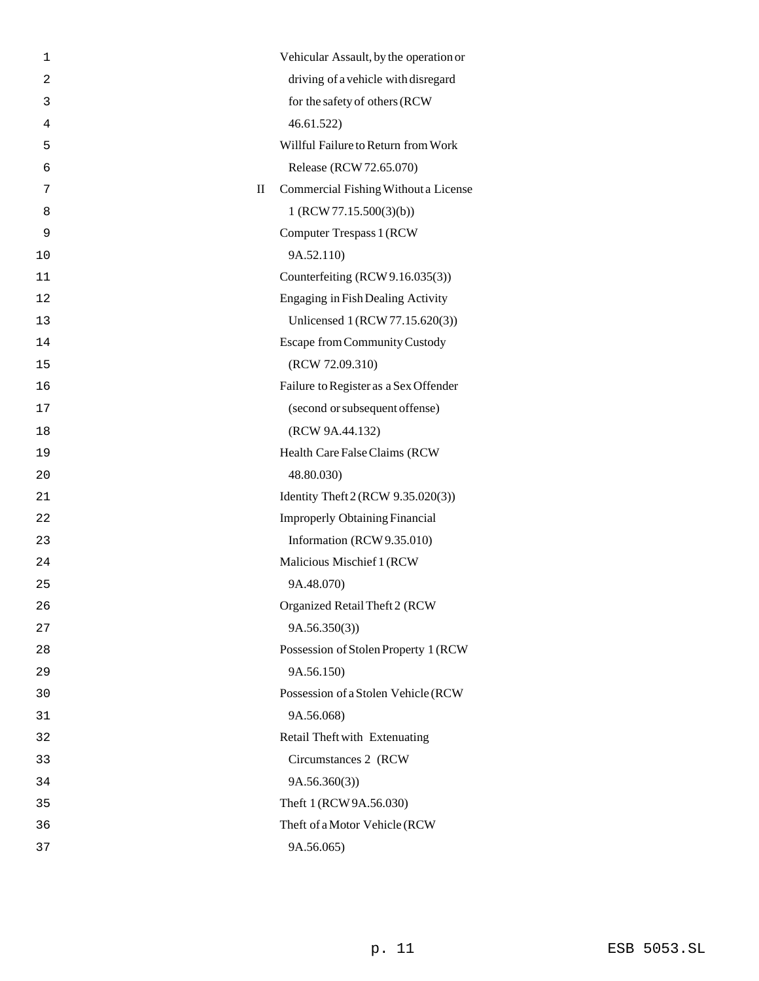| 1              |   | Vehicular Assault, by the operation or   |
|----------------|---|------------------------------------------|
| $\overline{c}$ |   | driving of a vehicle with disregard      |
| 3              |   | for the safety of others (RCW            |
| 4              |   | 46.61.522                                |
| 5              |   | Willful Failure to Return from Work      |
| 6              |   | Release (RCW 72.65.070)                  |
| 7              | П | Commercial Fishing Without a License     |
| 8              |   | 1 (RCW 77.15.500(3)(b))                  |
| 9              |   | Computer Trespass 1 (RCW                 |
| 10             |   | 9A.52.110)                               |
| 11             |   | Counterfeiting (RCW 9.16.035(3))         |
| 12             |   | <b>Engaging in Fish Dealing Activity</b> |
| 13             |   | Unlicensed 1 (RCW 77.15.620(3))          |
| 14             |   | <b>Escape from Community Custody</b>     |
| 15             |   | (RCW 72.09.310)                          |
| 16             |   | Failure to Register as a Sex Offender    |
| 17             |   | (second or subsequent offense)           |
| 18             |   | (RCW 9A.44.132)                          |
| 19             |   | Health Care False Claims (RCW            |
| 20             |   | 48.80.030)                               |
| 21             |   | Identity Theft 2 (RCW 9.35.020(3))       |
| 22             |   | <b>Improperly Obtaining Financial</b>    |
| 23             |   | Information (RCW 9.35.010)               |
| 24             |   | Malicious Mischief 1 (RCW                |
| 25             |   | 9A.48.070)                               |
| 26             |   | Organized Retail Theft 2 (RCW            |
| 27             |   | 9A.56.350(3)                             |
| 28             |   | Possession of Stolen Property 1 (RCW     |
| 29             |   | 9A.56.150)                               |
| 30             |   | Possession of a Stolen Vehicle (RCW      |
| 31             |   | 9A.56.068)                               |
| 32             |   | Retail Theft with Extenuating            |
| 33             |   | Circumstances 2 (RCW                     |
| 34             |   | 9A.56.360(3)                             |
| 35             |   | Theft 1 (RCW 9A.56.030)                  |
| 36             |   | Theft of a Motor Vehicle (RCW            |
| 37             |   | 9A.56.065)                               |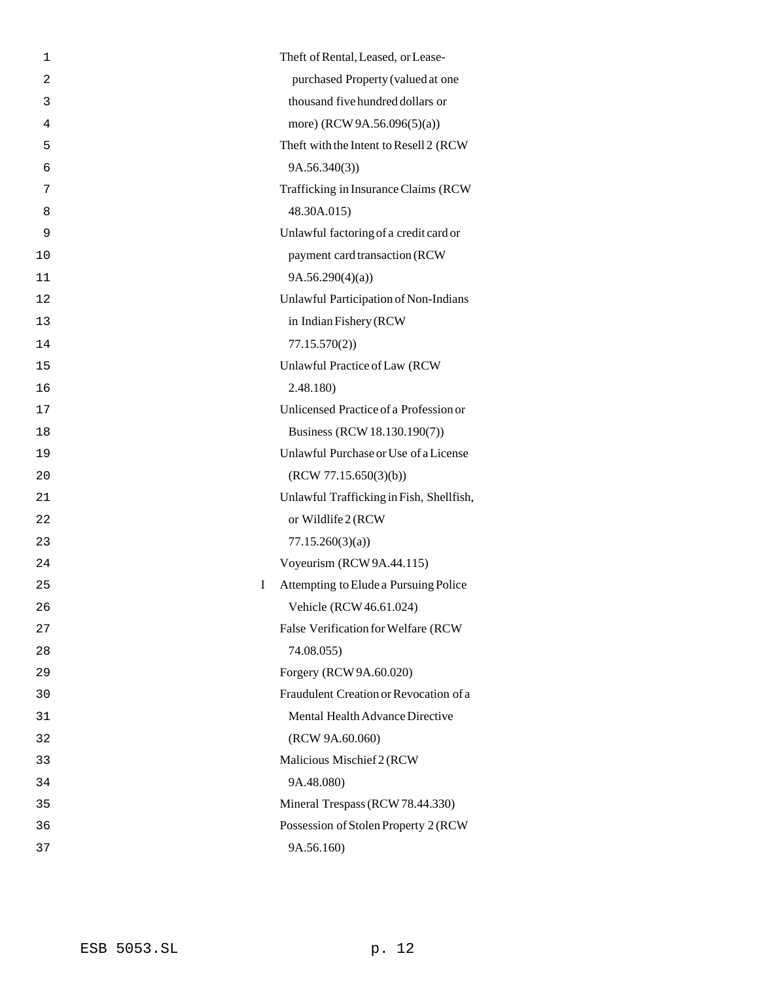| 1              | Theft of Rental, Leased, or Lease-         |
|----------------|--------------------------------------------|
| $\overline{2}$ | purchased Property (valued at one          |
| 3              | thousand five hundred dollars or           |
| 4              | more) (RCW 9A.56.096(5)(a))                |
| 5              | Theft with the Intent to Resell 2 (RCW     |
| 6              | 9A.56.340(3)                               |
| 7              | Trafficking in Insurance Claims (RCW)      |
| 8              | 48.30A.015)                                |
| 9              | Unlawful factoring of a credit card or     |
| 10             | payment card transaction (RCW              |
| 11             | 9A.56.290(4)(a)                            |
| 12             | Unlawful Participation of Non-Indians      |
| 13             | in Indian Fishery (RCW                     |
| 14             | 77.15.570(2)                               |
| 15             | Unlawful Practice of Law (RCW              |
| 16             | 2.48.180)                                  |
| 17             | Unlicensed Practice of a Profession or     |
| 18             | Business (RCW 18.130.190(7))               |
| 19             | Unlawful Purchase or Use of a License      |
| 20             | (RCW 77.15.650(3)(b))                      |
| 21             | Unlawful Trafficking in Fish, Shellfish,   |
| 22             | or Wildlife 2 (RCW                         |
| 23             | 77.15.260(3)(a)                            |
| 24             | Voyeurism (RCW 9A.44.115)                  |
| 25             | Attempting to Elude a Pursuing Police<br>Ι |
| 26             | Vehicle (RCW 46.61.024)                    |
| 27             | False Verification for Welfare (RCW        |
| 28             | 74.08.055)                                 |
| 29             | Forgery (RCW 9A.60.020)                    |
| 30             | Fraudulent Creation or Revocation of a     |
| 31             | Mental Health Advance Directive            |
| 32             | (RCW 9A.60.060)                            |
| 33             | Malicious Mischief 2 (RCW                  |
| 34             | 9A.48.080)                                 |
| 35             | Mineral Trespass (RCW 78.44.330)           |
| 36             | Possession of Stolen Property 2 (RCW       |
| 37             | 9A.56.160)                                 |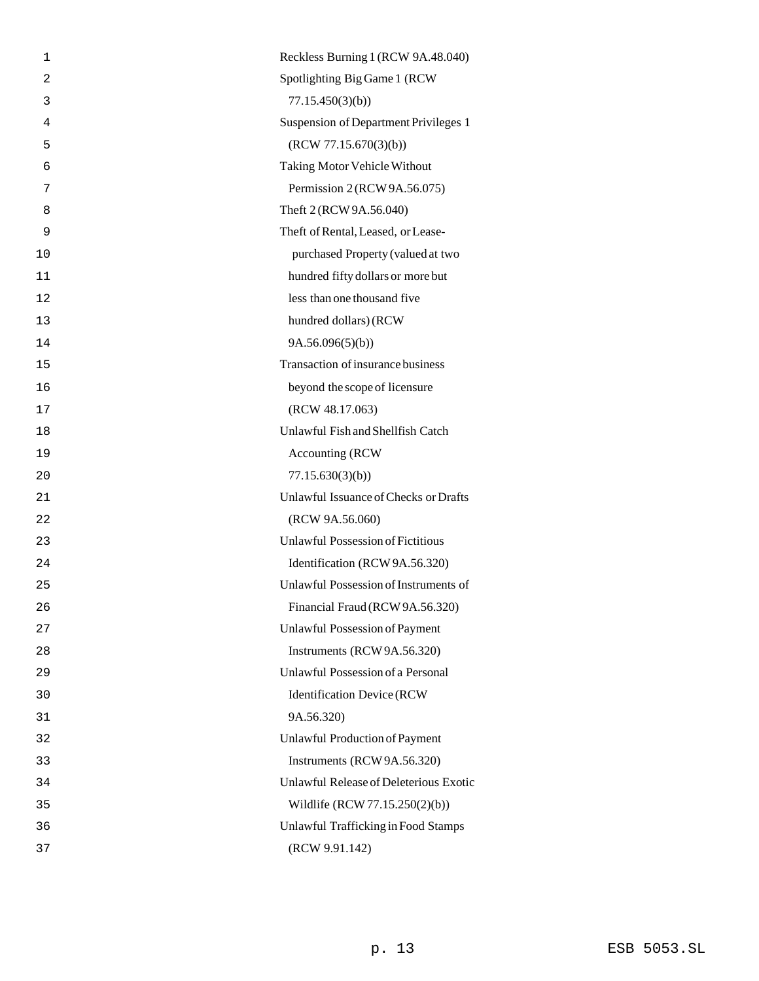| 1              | Reckless Burning 1 (RCW 9A.48.040)       |
|----------------|------------------------------------------|
| $\overline{2}$ | Spotlighting Big Game 1 (RCW             |
| 3              | 77.15.450(3)(b)                          |
| 4              | Suspension of Department Privileges 1    |
| 5              | (RCW 77.15.670(3)(b))                    |
| 6              | <b>Taking Motor Vehicle Without</b>      |
| 7              | Permission 2 (RCW 9A.56.075)             |
| 8              | Theft 2 (RCW 9A.56.040)                  |
| 9              | Theft of Rental, Leased, or Lease-       |
| 10             | purchased Property (valued at two        |
| 11             | hundred fifty dollars or more but        |
| 12             | less than one thousand five              |
| 13             | hundred dollars) (RCW                    |
| 14             | 9A.56.096(5)(b)                          |
| 15             | Transaction of insurance business        |
| 16             | beyond the scope of licensure            |
| 17             | (RCW 48.17.063)                          |
| 18             | Unlawful Fish and Shellfish Catch        |
| 19             | <b>Accounting (RCW)</b>                  |
| 20             | 77.15.630(3)(b)                          |
| 21             | Unlawful Issuance of Checks or Drafts    |
| 22             | (RCW 9A.56.060)                          |
| 23             | <b>Unlawful Possession of Fictitious</b> |
| 24             | Identification (RCW 9A.56.320)           |
| 25             | Unlawful Possession of Instruments of    |
| 26             | Financial Fraud (RCW 9A.56.320)          |
| 27             | <b>Unlawful Possession of Payment</b>    |
| 28             | Instruments (RCW 9A.56.320)              |
| 29             | Unlawful Possession of a Personal        |
| 30             | <b>Identification Device (RCW</b>        |
| 31             | 9A.56.320)                               |
| 32             | <b>Unlawful Production of Payment</b>    |
| 33             | Instruments (RCW 9A.56.320)              |
| 34             | Unlawful Release of Deleterious Exotic   |
| 35             | Wildlife (RCW 77.15.250(2)(b))           |
| 36             | Unlawful Trafficking in Food Stamps      |
| 37             | (RCW 9.91.142)                           |